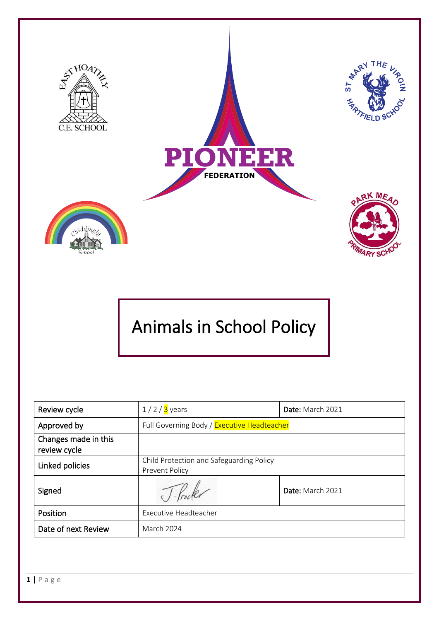

# Animals in School Policy

| Review cycle                         | $1/2/3$ years                                              | Date: March 2021 |
|--------------------------------------|------------------------------------------------------------|------------------|
| Approved by                          | Full Governing Body / Executive Headteacher                |                  |
| Changes made in this<br>review cycle |                                                            |                  |
| Linked policies                      | Child Protection and Safeguarding Policy<br>Prevent Policy |                  |
| Signed                               |                                                            | Date: March 2021 |
| Position                             | <b>Executive Headteacher</b>                               |                  |
| Date of next Review                  | March 2024                                                 |                  |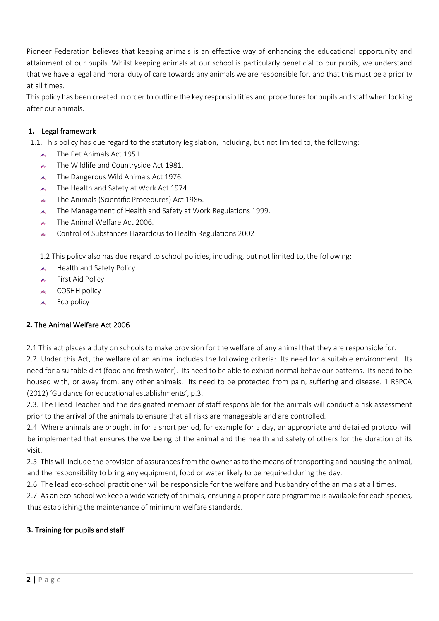Pioneer Federation believes that keeping animals is an effective way of enhancing the educational opportunity and attainment of our pupils. Whilst keeping animals at our school is particularly beneficial to our pupils, we understand that we have a legal and moral duty of care towards any animals we are responsible for, and that this must be a priority at all times.

This policy has been created in order to outline the key responsibilities and procedures for pupils and staff when looking after our animals.

## **1.** Legal framework

1.1. This policy has due regard to the statutory legislation, including, but not limited to, the following:

- $\mathbf{A}_{\mathbf{c}}$ The Pet Animals Act 1951.
- The Wildlife and Countryside Act 1981.  $\lambda$
- The Dangerous Wild Animals Act 1976.  $\mathcal{A}_\mathrm{e}$
- $\mathcal{A}_{\rm e}$ The Health and Safety at Work Act 1974.
- The Animals (Scientific Procedures) Act 1986.  $\mathbf{A}_{\mathbf{c}}$
- The Management of Health and Safety at Work Regulations 1999.  $\mathcal{A}_{\epsilon}$
- The Animal Welfare Act 2006.  $\mathcal{A}_{\mathbf{z}}$
- Control of Substances Hazardous to Health Regulations 2002  $\lambda$ .

1.2 This policy also has due regard to school policies, including, but not limited to, the following:

- 表。 Health and Safety Policy
- A First Aid Policy
- **A** COSHH policy
- Eco policy ada .

## **2.** The Animal Welfare Act 2006

2.1 This act places a duty on schools to make provision for the welfare of any animal that they are responsible for.

2.2. Under this Act, the welfare of an animal includes the following criteria: Its need for a suitable environment. Its need for a suitable diet (food and fresh water). Its need to be able to exhibit normal behaviour patterns. Its need to be housed with, or away from, any other animals. Its need to be protected from pain, suffering and disease. 1 RSPCA (2012) 'Guidance for educational establishments', p.3.

2.3. The Head Teacher and the designated member of staff responsible for the animals will conduct a risk assessment prior to the arrival of the animals to ensure that all risks are manageable and are controlled.

2.4. Where animals are brought in for a short period, for example for a day, an appropriate and detailed protocol will be implemented that ensures the wellbeing of the animal and the health and safety of others for the duration of its visit.

2.5. This will include the provision of assurances from the owner as to the means of transporting and housing the animal, and the responsibility to bring any equipment, food or water likely to be required during the day.

2.6. The lead eco-school practitioner will be responsible for the welfare and husbandry of the animals at all times.

2.7. As an eco-school we keep a wide variety of animals, ensuring a proper care programme is available for each species, thus establishing the maintenance of minimum welfare standards.

## **3.** Training for pupils and staff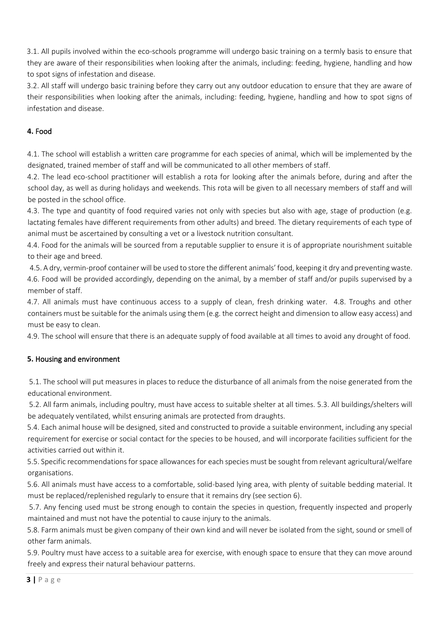3.1. All pupils involved within the eco-schools programme will undergo basic training on a termly basis to ensure that they are aware of their responsibilities when looking after the animals, including: feeding, hygiene, handling and how to spot signs of infestation and disease.

3.2. All staff will undergo basic training before they carry out any outdoor education to ensure that they are aware of their responsibilities when looking after the animals, including: feeding, hygiene, handling and how to spot signs of infestation and disease.

## **4.** Food

4.1. The school will establish a written care programme for each species of animal, which will be implemented by the designated, trained member of staff and will be communicated to all other members of staff.

4.2. The lead eco-school practitioner will establish a rota for looking after the animals before, during and after the school day, as well as during holidays and weekends. This rota will be given to all necessary members of staff and will be posted in the school office.

4.3. The type and quantity of food required varies not only with species but also with age, stage of production (e.g. lactating females have different requirements from other adults) and breed. The dietary requirements of each type of animal must be ascertained by consulting a vet or a livestock nutrition consultant.

4.4. Food for the animals will be sourced from a reputable supplier to ensure it is of appropriate nourishment suitable to their age and breed.

4.5. A dry, vermin-proof container will be used to store the different animals' food, keeping it dry and preventing waste. 4.6. Food will be provided accordingly, depending on the animal, by a member of staff and/or pupils supervised by a member of staff.

4.7. All animals must have continuous access to a supply of clean, fresh drinking water. 4.8. Troughs and other containers must be suitable for the animals using them (e.g. the correct height and dimension to allow easy access) and must be easy to clean.

4.9. The school will ensure that there is an adequate supply of food available at all times to avoid any drought of food.

## **5.** Housing and environment

5.1. The school will put measures in places to reduce the disturbance of all animals from the noise generated from the educational environment.

5.2. All farm animals, including poultry, must have access to suitable shelter at all times. 5.3. All buildings/shelters will be adequately ventilated, whilst ensuring animals are protected from draughts.

5.4. Each animal house will be designed, sited and constructed to provide a suitable environment, including any special requirement for exercise or social contact for the species to be housed, and will incorporate facilities sufficient for the activities carried out within it.

5.5. Specific recommendations for space allowances for each species must be sought from relevant agricultural/welfare organisations.

5.6. All animals must have access to a comfortable, solid-based lying area, with plenty of suitable bedding material. It must be replaced/replenished regularly to ensure that it remains dry (see section 6).

5.7. Any fencing used must be strong enough to contain the species in question, frequently inspected and properly maintained and must not have the potential to cause injury to the animals.

5.8. Farm animals must be given company of their own kind and will never be isolated from the sight, sound or smell of other farm animals.

5.9. Poultry must have access to a suitable area for exercise, with enough space to ensure that they can move around freely and express their natural behaviour patterns.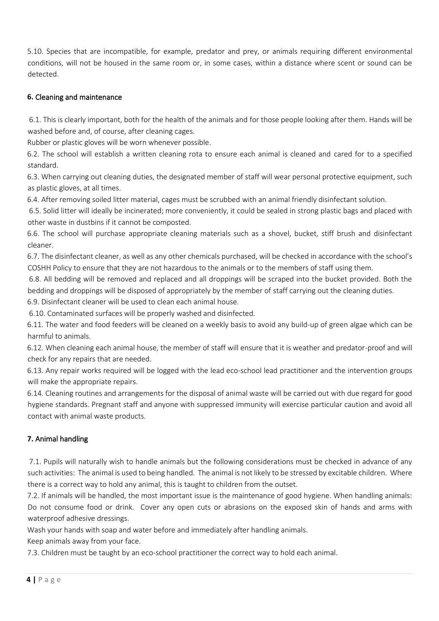5.10. Species that are incompatible, for example, predator and prey, or animals requiring different environmental conditions, will not be housed in the same room or, in some cases, within a distance where scent or sound can be detected.

### **6.** Cleaning and maintenance

6.1. This is clearly important, both for the health of the animals and for those people looking after them. Hands will be washed before and, of course, after cleaning cages.

Rubber or plastic gloves will be worn whenever possible.

6.2. The school will establish a written cleaning rota to ensure each animal is cleaned and cared for to a specified standard.

6.3. When carrying out cleaning duties, the designated member of staff will wear personal protective equipment, such as plastic gloves, at all times.

6.4. After removing soiled litter material, cages must be scrubbed with an animal friendly disinfectant solution.

6.5. Solid litter will ideally be incinerated; more conveniently, it could be sealed in strong plastic bags and placed with other waste in dustbins if it cannot be composted.

6.6. The school will purchase appropriate cleaning materials such as a shovel, bucket, stiff brush and disinfectant cleaner.

6.7. The disinfectant cleaner, as well as any other chemicals purchased, will be checked in accordance with the school's COSHH Policy to ensure that they are not hazardous to the animals or to the members of staff using them.

6.8. All bedding will be removed and replaced and all droppings will be scraped into the bucket provided. Both the bedding and droppings will be disposed of appropriately by the member of staff carrying out the cleaning duties.

6.9. Disinfectant cleaner will be used to clean each animal house.

6.10. Contaminated surfaces will be properly washed and disinfected.

6.11. The water and food feeders will be cleaned on a weekly basis to avoid any build-up of green algae which can be harmful to animals.

6.12. When cleaning each animal house, the member of staff will ensure that it is weather and predator-proof and will check for any repairs that are needed.

6.13. Any repair works required will be logged with the lead eco-school lead practitioner and the intervention groups will make the appropriate repairs.

6.14. Cleaning routines and arrangements for the disposal of animal waste will be carried out with due regard for good hygiene standards. Pregnant staff and anyone with suppressed immunity will exercise particular caution and avoid all contact with animal waste products.

## **7.** Animal handling

7.1. Pupils will naturally wish to handle animals but the following considerations must be checked in advance of any such activities: The animal is used to being handled. The animal is not likely to be stressed by excitable children. Where there is a correct way to hold any animal, this is taught to children from the outset.

7.2. If animals will be handled, the most important issue is the maintenance of good hygiene. When handling animals: Do not consume food or drink. Cover any open cuts or abrasions on the exposed skin of hands and arms with waterproof adhesive dressings.

Wash your hands with soap and water before and immediately after handling animals.

Keep animals away from your face.

7.3. Children must be taught by an eco-school practitioner the correct way to hold each animal.